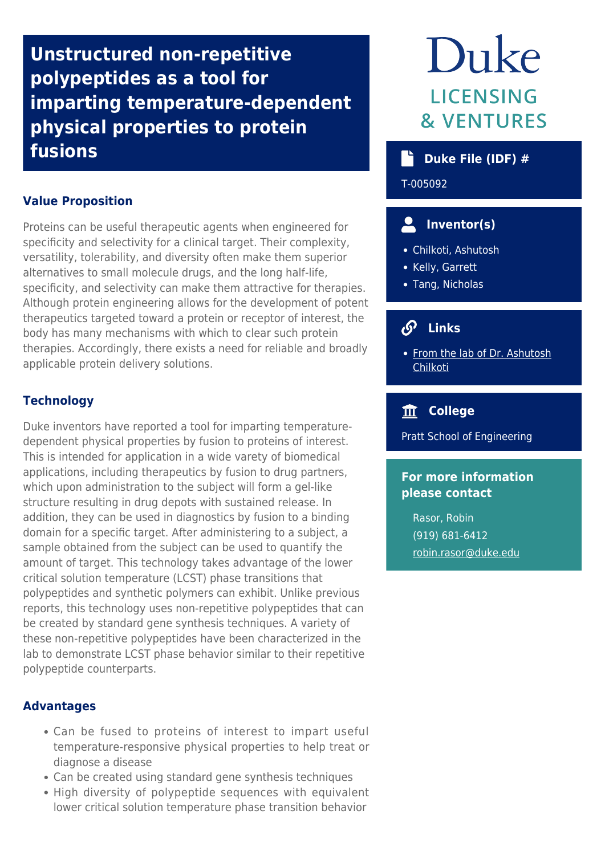**Unstructured non-repetitive polypeptides as a tool for imparting temperature-dependent physical properties to protein fusions**

## **Value Proposition**

Proteins can be useful therapeutic agents when engineered for specificity and selectivity for a clinical target. Their complexity, versatility, tolerability, and diversity often make them superior alternatives to small molecule drugs, and the long half-life, specificity, and selectivity can make them attractive for therapies. Although protein engineering allows for the development of potent therapeutics targeted toward a protein or receptor of interest, the body has many mechanisms with which to clear such protein therapies. Accordingly, there exists a need for reliable and broadly applicable protein delivery solutions.

# **Technology**

Duke inventors have reported a tool for imparting temperaturedependent physical properties by fusion to proteins of interest. This is intended for application in a wide varety of biomedical applications, including therapeutics by fusion to drug partners, which upon administration to the subject will form a gel-like structure resulting in drug depots with sustained release. In addition, they can be used in diagnostics by fusion to a binding domain for a specific target. After administering to a subject, a sample obtained from the subject can be used to quantify the amount of target. This technology takes advantage of the lower critical solution temperature (LCST) phase transitions that polypeptides and synthetic polymers can exhibit. Unlike previous reports, this technology uses non-repetitive polypeptides that can be created by standard gene synthesis techniques. A variety of these non-repetitive polypeptides have been characterized in the lab to demonstrate LCST phase behavior similar to their repetitive polypeptide counterparts.

### **Advantages**

- Can be fused to proteins of interest to impart useful temperature-responsive physical properties to help treat or diagnose a disease
- Can be created using standard gene synthesis techniques
- High diversity of polypeptide sequences with equivalent lower critical solution temperature phase transition behavior

# Duke **LICENSING & VENTURES**

# **Duke File (IDF) #**

T-005092

# **Inventor(s)**

- Chilkoti, Ashutosh
- Kelly, Garrett
- Tang, Nicholas

#### $\mathcal{S}$  **Links**

• [From the lab of Dr. Ashutosh](http://chilkotilab.pratt.duke.edu/) **[Chilkoti](http://chilkotilab.pratt.duke.edu/)** 

# **College**

Pratt School of Engineering

# **For more information please contact**

Rasor, Robin (919) 681-6412 [robin.rasor@duke.edu](mailto:robin.rasor@duke.edu)